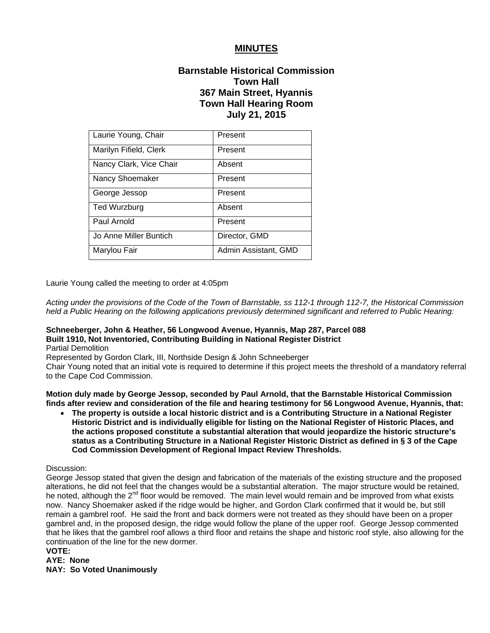# **MINUTES**

# **Barnstable Historical Commission Town Hall 367 Main Street, Hyannis Town Hall Hearing Room July 21, 2015**

| Laurie Young, Chair     | Present              |
|-------------------------|----------------------|
| Marilyn Fifield, Clerk  | Present              |
| Nancy Clark, Vice Chair | Absent               |
| Nancy Shoemaker         | Present              |
| George Jessop           | Present              |
| Ted Wurzburg            | Absent               |
| Paul Arnold             | Present              |
| Jo Anne Miller Buntich  | Director, GMD        |
| Marylou Fair            | Admin Assistant, GMD |

Laurie Young called the meeting to order at 4:05pm

*Acting under the provisions of the Code of the Town of Barnstable, ss 112-1 through 112-7, the Historical Commission held a Public Hearing on the following applications previously determined significant and referred to Public Hearing:*

#### **Schneeberger, John & Heather, 56 Longwood Avenue, Hyannis, Map 287, Parcel 088 Built 1910, Not Inventoried, Contributing Building in National Register District**

Partial Demolition

Represented by Gordon Clark, III, Northside Design & John Schneeberger

Chair Young noted that an initial vote is required to determine if this project meets the threshold of a mandatory referral to the Cape Cod Commission.

**Motion duly made by George Jessop, seconded by Paul Arnold, that the Barnstable Historical Commission finds after review and consideration of the file and hearing testimony for 56 Longwood Avenue, Hyannis, that:** 

 **The property is outside a local historic district and is a Contributing Structure in a National Register Historic District and is individually eligible for listing on the National Register of Historic Places, and the actions proposed constitute a substantial alteration that would jeopardize the historic structure's status as a Contributing Structure in a National Register Historic District as defined in § 3 of the Cape Cod Commission Development of Regional Impact Review Thresholds.** 

#### Discussion:

George Jessop stated that given the design and fabrication of the materials of the existing structure and the proposed alterations, he did not feel that the changes would be a substantial alteration. The major structure would be retained, he noted, although the 2<sup>nd</sup> floor would be removed. The main level would remain and be improved from what exists now. Nancy Shoemaker asked if the ridge would be higher, and Gordon Clark confirmed that it would be, but still remain a gambrel roof. He said the front and back dormers were not treated as they should have been on a proper gambrel and, in the proposed design, the ridge would follow the plane of the upper roof. George Jessop commented that he likes that the gambrel roof allows a third floor and retains the shape and historic roof style, also allowing for the continuation of the line for the new dormer.

#### **VOTE:**

**AYE: None** 

**NAY: So Voted Unanimously**